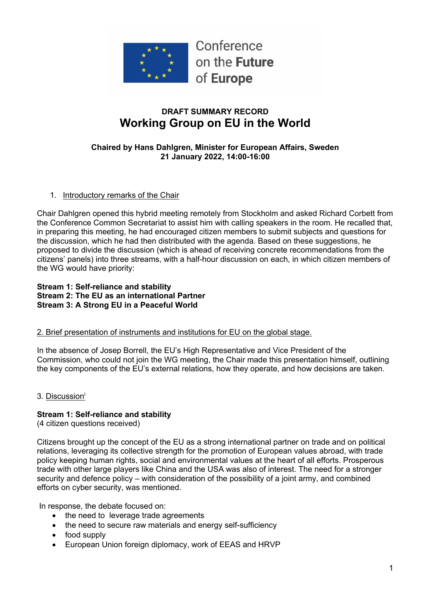

# **DRAFT SUMMARY RECORD Working Group on EU in the World**

#### **Chaired by Hans Dahlgren, Minister for European Affairs, Sweden 21 January 2022, 14:00-16:00**

### 1. Introductory remarks of the Chair

Chair Dahlgren opened this hybrid meeting remotely from Stockholm and asked Richard Corbett from the Conference Common Secretariat to assist him with calling speakers in the room. He recalled that, in preparing this meeting, he had encouraged citizen members to submit subjects and questions for the discussion, which he had then distributed with the agenda. Based on these suggestions, he proposed to divide the discussion (which is ahead of receiving concrete recommendations from the citizens' panels) into three streams, with a half-hour discussion on each, in which citizen members of the WG would have priority:

#### **Stream 1: Self-reliance and stability Stream 2: The EU as an international Partner Stream 3: A Strong EU in a Peaceful World**

#### 2. Brief presentation of instruments and institutions for EU on the global stage.

In the absence of Josep Borrell, the EU's High Representative and Vice President of the Commission, who could not join the WG meeting, the Chair made this presentation himself, outlining the key components of the EU's external relations, how they operate, and how decisions are taken.

3. Discussioni

# **Stream 1: Self-reliance and stability**

(4 citizen questions received)

Citizens brought up the concept of the EU as a strong international partner on trade and on political relations, leveraging its collective strength for the promotion of European values abroad, with trade policy keeping human rights, social and environmental values at the heart of all efforts. Prosperous trade with other large players like China and the USA was also of interest. The need for a stronger security and defence policy – with consideration of the possibility of a joint army, and combined efforts on cyber security, was mentioned.

In response, the debate focused on:

- the need to leverage trade agreements
- the need to secure raw materials and energy self-sufficiency
- food supply
- European Union foreign diplomacy, work of EEAS and HRVP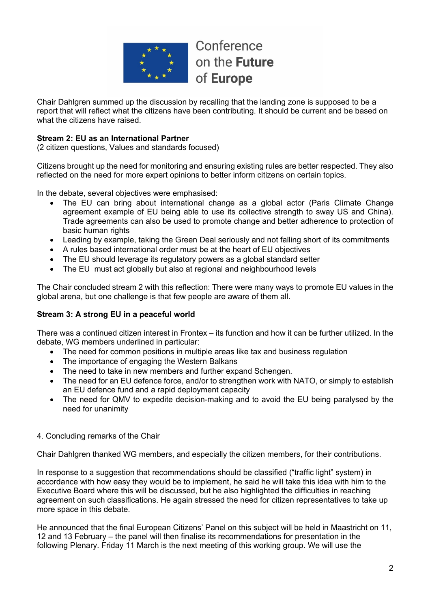

Conference on the Future of Europe

Chair Dahlgren summed up the discussion by recalling that the landing zone is supposed to be a report that will reflect what the citizens have been contributing. It should be current and be based on what the citizens have raised

# **Stream 2: EU as an International Partner**

(2 citizen questions, Values and standards focused)

Citizens brought up the need for monitoring and ensuring existing rules are better respected. They also reflected on the need for more expert opinions to better inform citizens on certain topics.

In the debate, several objectives were emphasised:

- The EU can bring about international change as a global actor (Paris Climate Change agreement example of EU being able to use its collective strength to sway US and China). Trade agreements can also be used to promote change and better adherence to protection of basic human rights
- Leading by example, taking the Green Deal seriously and not falling short of its commitments
- A rules based international order must be at the heart of EU objectives
- The EU should leverage its regulatory powers as a global standard setter
- The EU must act globally but also at regional and neighbourhood levels

The Chair concluded stream 2 with this reflection: There were many ways to promote EU values in the global arena, but one challenge is that few people are aware of them all.

# **Stream 3: A strong EU in a peaceful world**

There was a continued citizen interest in Frontex – its function and how it can be further utilized. In the debate, WG members underlined in particular:

- The need for common positions in multiple areas like tax and business regulation
- The importance of engaging the Western Balkans
- The need to take in new members and further expand Schengen.
- The need for an EU defence force, and/or to strengthen work with NATO, or simply to establish an EU defence fund and a rapid deployment capacity
- The need for QMV to expedite decision-making and to avoid the EU being paralysed by the need for unanimity

#### 4. Concluding remarks of the Chair

Chair Dahlgren thanked WG members, and especially the citizen members, for their contributions.

In response to a suggestion that recommendations should be classified ("traffic light" system) in accordance with how easy they would be to implement, he said he will take this idea with him to the Executive Board where this will be discussed, but he also highlighted the difficulties in reaching agreement on such classifications. He again stressed the need for citizen representatives to take up more space in this debate.

He announced that the final European Citizens' Panel on this subject will be held in Maastricht on 11, 12 and 13 February – the panel will then finalise its recommendations for presentation in the following Plenary. Friday 11 March is the next meeting of this working group. We will use the